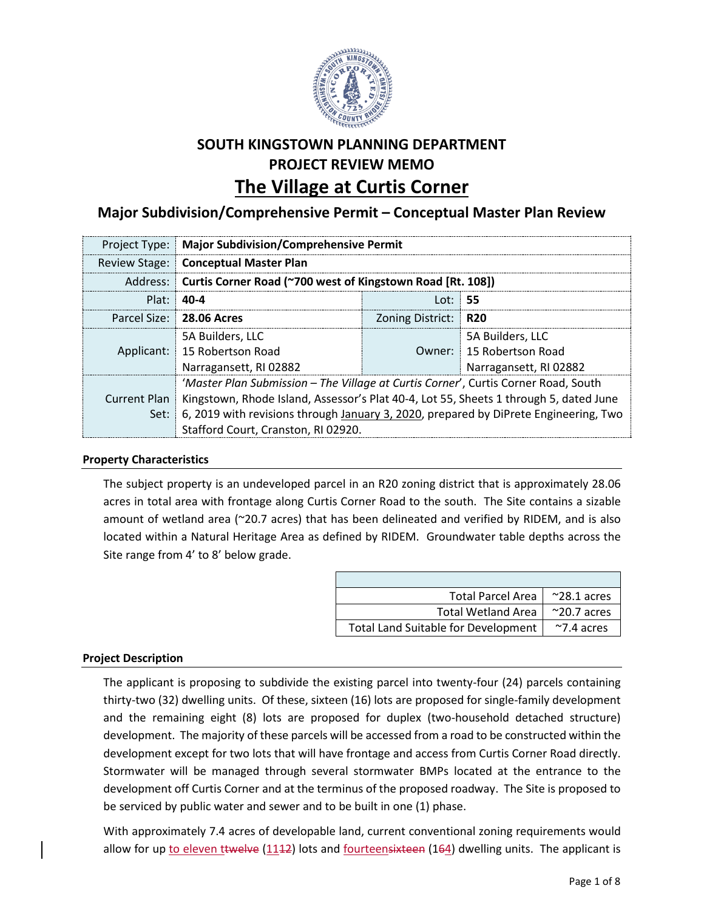

# **SOUTH KINGSTOWN PLANNING DEPARTMENT PROJECT REVIEW MEMO The Village at Curtis Corner**

# **Major Subdivision/Comprehensive Permit – Conceptual Master Plan Review**

|            | <b>Project Type:   Major Subdivision/Comprehensive Permit</b>                                        |                      |                          |  |
|------------|------------------------------------------------------------------------------------------------------|----------------------|--------------------------|--|
|            | Review Stage:   Conceptual Master Plan                                                               |                      |                          |  |
|            | Address:   Curtis Corner Road (~700 west of Kingstown Road [Rt. 108])                                |                      |                          |  |
| Plat: 40-4 | Lot:   <b>55</b>                                                                                     |                      |                          |  |
|            | Parcel Size: 28.06 Acres                                                                             | Zoning District: R20 |                          |  |
|            | 5A Builders, LLC                                                                                     |                      | 5A Builders, LLC         |  |
|            | Applicant: 15 Robertson Road                                                                         |                      | Owner: 15 Robertson Road |  |
|            | Narragansett, RI 02882                                                                               |                      | Narragansett, RI 02882   |  |
|            | 'Master Plan Submission - The Village at Curtis Corner', Curtis Corner Road, South                   |                      |                          |  |
|            | Current Plan   Kingstown, Rhode Island, Assessor's Plat 40-4, Lot 55, Sheets 1 through 5, dated June |                      |                          |  |
|            | Set: 6, 2019 with revisions through January 3, 2020, prepared by DiPrete Engineering, Two            |                      |                          |  |
|            | Stafford Court, Cranston, RI 02920.                                                                  |                      |                          |  |

# **Property Characteristics**

The subject property is an undeveloped parcel in an R20 zoning district that is approximately 28.06 acres in total area with frontage along Curtis Corner Road to the south. The Site contains a sizable amount of wetland area (~20.7 acres) that has been delineated and verified by RIDEM, and is also located within a Natural Heritage Area as defined by RIDEM. Groundwater table depths across the Site range from 4' to 8' below grade.

| <b>Total Parcel Area</b>                   | $^{\sim}$ 28.1 acres |
|--------------------------------------------|----------------------|
| <b>Total Wetland Area</b>                  | $^{\sim}$ 20.7 acres |
| <b>Total Land Suitable for Development</b> | $~\gamma$ .4 acres   |

# **Project Description**

The applicant is proposing to subdivide the existing parcel into twenty-four (24) parcels containing thirty-two (32) dwelling units. Of these, sixteen (16) lots are proposed for single-family development and the remaining eight (8) lots are proposed for duplex (two-household detached structure) development. The majority of these parcels will be accessed from a road to be constructed within the development except for two lots that will have frontage and access from Curtis Corner Road directly. Stormwater will be managed through several stormwater BMPs located at the entrance to the development off Curtis Corner and at the terminus of the proposed roadway. The Site is proposed to be serviced by public water and sewer and to be built in one (1) phase.

With approximately 7.4 acres of developable land, current conventional zoning requirements would allow for up to eleven ttwelve (1142) lots and fourteensixteen (164) dwelling units. The applicant is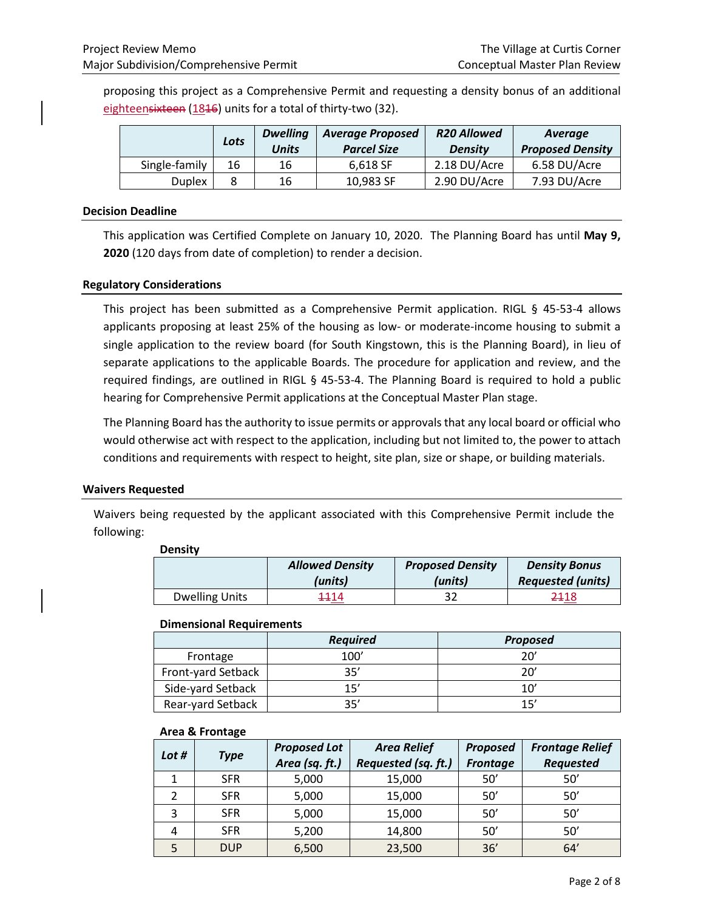proposing this project as a Comprehensive Permit and requesting a density bonus of an additional eighteensixteen (1816) units for a total of thirty-two (32).

|               | Lots | <b>Dwelling</b><br><b>Units</b> | <b>Average Proposed</b><br><b>Parcel Size</b> | <b>R20 Allowed</b><br><b>Density</b> | Average<br><b>Proposed Density</b> |
|---------------|------|---------------------------------|-----------------------------------------------|--------------------------------------|------------------------------------|
| Single-family | 16   | 16                              | 6.618 SF                                      | 2.18 DU/Acre                         | 6.58 DU/Acre                       |
| <b>Duplex</b> |      | 16                              | 10.983 SF                                     | 2.90 DU/Acre                         | 7.93 DU/Acre                       |

#### **Decision Deadline**

This application was Certified Complete on January 10, 2020. The Planning Board has until **May 9, 2020** (120 days from date of completion) to render a decision.

## **Regulatory Considerations**

This project has been submitted as a Comprehensive Permit application. RIGL § 45-53-4 allows applicants proposing at least 25% of the housing as low- or moderate-income housing to submit a single application to the review board (for South Kingstown, this is the Planning Board), in lieu of separate applications to the applicable Boards. The procedure for application and review, and the required findings, are outlined in RIGL § 45-53-4. The Planning Board is required to hold a public hearing for Comprehensive Permit applications at the Conceptual Master Plan stage.

The Planning Board has the authority to issue permits or approvals that any local board or official who would otherwise act with respect to the application, including but not limited to, the power to attach conditions and requirements with respect to height, site plan, size or shape, or building materials.

#### **Waivers Requested**

Waivers being requested by the applicant associated with this Comprehensive Permit include the following:

| <b>Density</b>        |                                   |                                    |                                                  |
|-----------------------|-----------------------------------|------------------------------------|--------------------------------------------------|
|                       | <b>Allowed Density</b><br>(units) | <b>Proposed Density</b><br>(units) | <b>Density Bonus</b><br><b>Requested (units)</b> |
| <b>Dwelling Units</b> | 4414                              |                                    | 2418                                             |

#### **Dimensional Requirements**

|                    | <b>Required</b> | <b>Proposed</b> |
|--------------------|-----------------|-----------------|
| Frontage           | 100'            | 20'             |
| Front-yard Setback | 35'             | 20'             |
| Side-yard Setback  | 15'             | 10'             |
| Rear-yard Setback  | 25'             | 15'             |

#### **Area & Frontage**

| Lot # | <b>Type</b> | <b>Proposed Lot</b><br>Area (sq. ft.) | <b>Area Relief</b><br>Requested (sq. ft.) | <b>Proposed</b><br><b>Frontage</b> | <b>Frontage Relief</b><br><b>Requested</b> |
|-------|-------------|---------------------------------------|-------------------------------------------|------------------------------------|--------------------------------------------|
|       | <b>SFR</b>  | 5,000                                 | 15,000                                    | 50'                                | 50'                                        |
|       | <b>SFR</b>  | 5,000                                 | 15,000                                    | 50'                                | 50'                                        |
| 3     | <b>SFR</b>  | 5,000                                 | 15,000                                    | 50'                                | 50'                                        |
| 4     | <b>SFR</b>  | 5,200                                 | 14,800                                    | 50'                                | 50'                                        |
|       | <b>DUP</b>  | 6,500                                 | 23,500                                    | 36'                                | 64'                                        |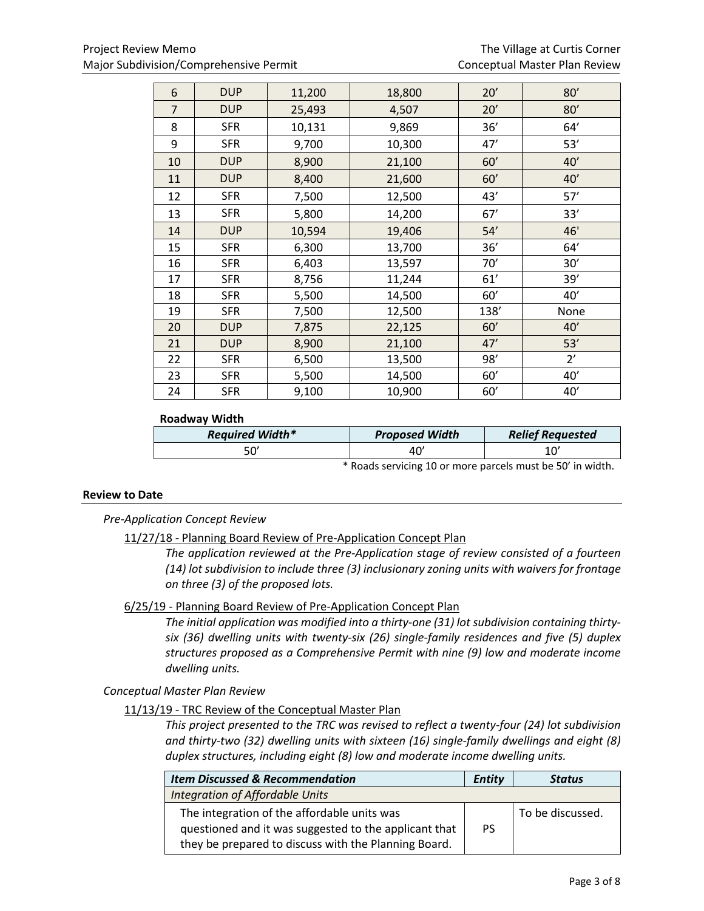| 6              | <b>DUP</b> | 11,200 | 18,800 | 20'  | 80'  |
|----------------|------------|--------|--------|------|------|
| $\overline{7}$ | <b>DUP</b> | 25,493 | 4,507  | 20'  | 80'  |
| 8              | <b>SFR</b> | 10,131 | 9,869  | 36'  | 64'  |
| 9              | <b>SFR</b> | 9,700  | 10,300 | 47'  | 53'  |
| 10             | <b>DUP</b> | 8,900  | 21,100 | 60'  | 40'  |
| 11             | <b>DUP</b> | 8,400  | 21,600 | 60'  | 40'  |
| 12             | <b>SFR</b> | 7,500  | 12,500 | 43'  | 57'  |
| 13             | <b>SFR</b> | 5,800  | 14,200 | 67'  | 33'  |
| 14             | <b>DUP</b> | 10,594 | 19,406 | 54'  | 46'  |
| 15             | <b>SFR</b> | 6,300  | 13,700 | 36'  | 64'  |
| 16             | <b>SFR</b> | 6,403  | 13,597 | 70'  | 30'  |
| 17             | <b>SFR</b> | 8,756  | 11,244 | 61'  | 39'  |
| 18             | <b>SFR</b> | 5,500  | 14,500 | 60'  | 40'  |
| 19             | <b>SFR</b> | 7,500  | 12,500 | 138' | None |
| 20             | <b>DUP</b> | 7,875  | 22,125 | 60'  | 40'  |
| 21             | <b>DUP</b> | 8,900  | 21,100 | 47'  | 53'  |
| 22             | <b>SFR</b> | 6,500  | 13,500 | 98'  | 2'   |
| 23             | <b>SFR</b> | 5,500  | 14,500 | 60'  | 40'  |
| 24             | <b>SFR</b> | 9,100  | 10,900 | 60'  | 40'  |

#### **Roadway Width**

| <b>Required Width*</b> | <b>Proposed Width</b> | <b>Relief Requested</b> |  |
|------------------------|-----------------------|-------------------------|--|
| 50                     | 40                    |                         |  |
|                        |                       |                         |  |

\* Roads servicing 10 or more parcels must be 50' in width.

#### **Review to Date**

*Pre-Application Concept Review*

#### 11/27/18 - Planning Board Review of Pre-Application Concept Plan

*The application reviewed at the Pre-Application stage of review consisted of a fourteen (14) lot subdivision to include three (3) inclusionary zoning units with waivers for frontage on three (3) of the proposed lots.*

### 6/25/19 - Planning Board Review of Pre-Application Concept Plan

*The initial application was modified into a thirty-one (31) lot subdivision containing thirtysix (36) dwelling units with twenty-six (26) single-family residences and five (5) duplex structures proposed as a Comprehensive Permit with nine (9) low and moderate income dwelling units.*

*Conceptual Master Plan Review*

#### 11/13/19 - TRC Review of the Conceptual Master Plan

*This project presented to the TRC was revised to reflect a twenty-four (24) lot subdivision and thirty-two (32) dwelling units with sixteen (16) single-family dwellings and eight (8) duplex structures, including eight (8) low and moderate income dwelling units.*

| <b>Item Discussed &amp; Recommendation</b>            | Entity | <b>Status</b>    |
|-------------------------------------------------------|--------|------------------|
| Integration of Affordable Units                       |        |                  |
| The integration of the affordable units was           |        | To be discussed. |
| questioned and it was suggested to the applicant that | PS     |                  |
| they be prepared to discuss with the Planning Board.  |        |                  |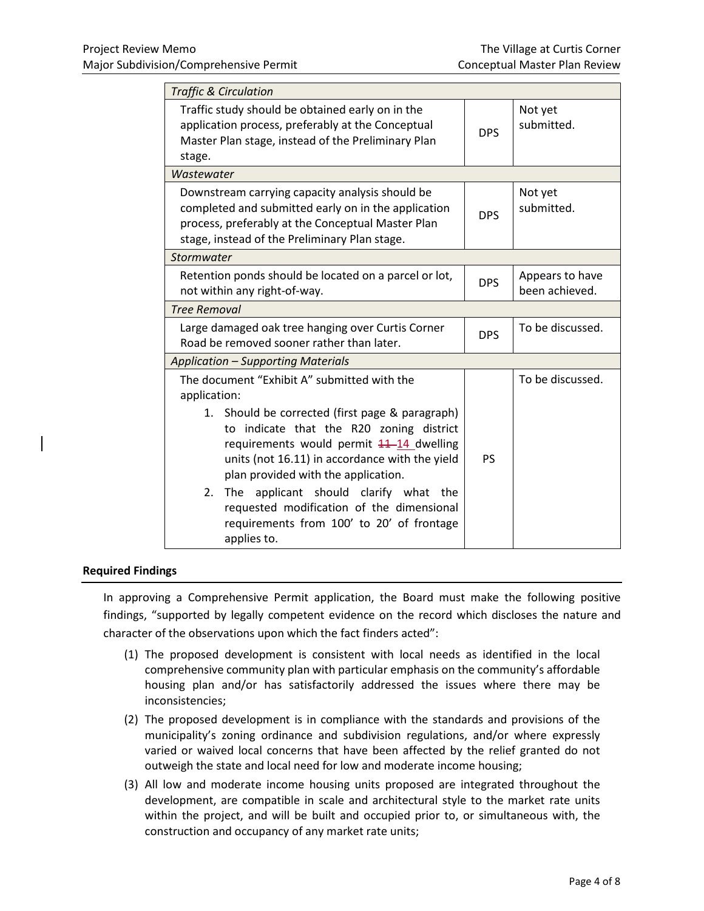| <b>Traffic &amp; Circulation</b>                                                                                                                                                                                                                                                                                                                                                                                                                           |            |                                   |
|------------------------------------------------------------------------------------------------------------------------------------------------------------------------------------------------------------------------------------------------------------------------------------------------------------------------------------------------------------------------------------------------------------------------------------------------------------|------------|-----------------------------------|
| Traffic study should be obtained early on in the<br>application process, preferably at the Conceptual<br>Master Plan stage, instead of the Preliminary Plan<br>stage.                                                                                                                                                                                                                                                                                      | <b>DPS</b> | Not yet<br>submitted.             |
| Wastewater                                                                                                                                                                                                                                                                                                                                                                                                                                                 |            |                                   |
| Downstream carrying capacity analysis should be<br>completed and submitted early on in the application<br>process, preferably at the Conceptual Master Plan<br>stage, instead of the Preliminary Plan stage.                                                                                                                                                                                                                                               | <b>DPS</b> | Not yet<br>submitted.             |
| Stormwater                                                                                                                                                                                                                                                                                                                                                                                                                                                 |            |                                   |
| Retention ponds should be located on a parcel or lot,<br>not within any right-of-way.                                                                                                                                                                                                                                                                                                                                                                      |            | Appears to have<br>been achieved. |
| <b>Tree Removal</b>                                                                                                                                                                                                                                                                                                                                                                                                                                        |            |                                   |
| Large damaged oak tree hanging over Curtis Corner<br>Road be removed sooner rather than later.                                                                                                                                                                                                                                                                                                                                                             |            | To be discussed.                  |
| <b>Application - Supporting Materials</b>                                                                                                                                                                                                                                                                                                                                                                                                                  |            |                                   |
| The document "Exhibit A" submitted with the<br>application:<br>1. Should be corrected (first page & paragraph)<br>to indicate that the R20 zoning district<br>requirements would permit 11-14 dwelling<br>units (not 16.11) in accordance with the yield<br>plan provided with the application.<br>applicant should clarify what the<br>2.<br>The<br>requested modification of the dimensional<br>requirements from 100' to 20' of frontage<br>applies to. | <b>PS</b>  | To be discussed.                  |

#### **Required Findings**

In approving a Comprehensive Permit application, the Board must make the following positive findings, "supported by legally competent evidence on the record which discloses the nature and character of the observations upon which the fact finders acted":

- (1) The proposed development is consistent with local needs as identified in the local comprehensive community plan with particular emphasis on the community's affordable housing plan and/or has satisfactorily addressed the issues where there may be inconsistencies;
- (2) The proposed development is in compliance with the standards and provisions of the municipality's zoning ordinance and subdivision regulations, and/or where expressly varied or waived local concerns that have been affected by the relief granted do not outweigh the state and local need for low and moderate income housing;
- (3) All low and moderate income housing units proposed are integrated throughout the development, are compatible in scale and architectural style to the market rate units within the project, and will be built and occupied prior to, or simultaneous with, the construction and occupancy of any market rate units;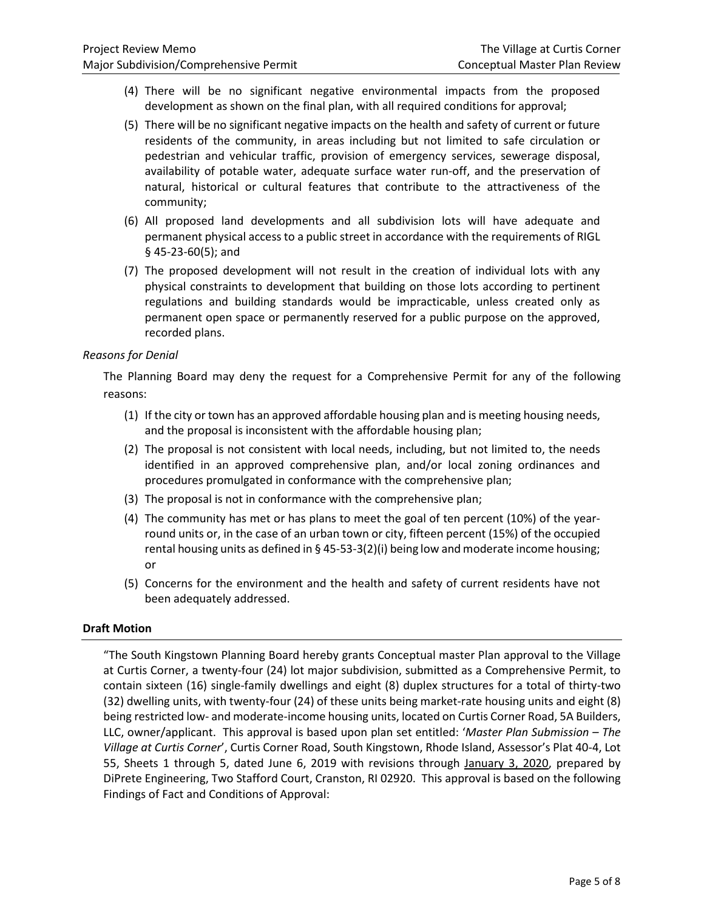- (4) There will be no significant negative environmental impacts from the proposed development as shown on the final plan, with all required conditions for approval;
- (5) There will be no significant negative impacts on the health and safety of current or future residents of the community, in areas including but not limited to safe circulation or pedestrian and vehicular traffic, provision of emergency services, sewerage disposal, availability of potable water, adequate surface water run-off, and the preservation of natural, historical or cultural features that contribute to the attractiveness of the community;
- (6) All proposed land developments and all subdivision lots will have adequate and permanent physical access to a public street in accordance with the requirements of RIGL § 45-23-60(5); and
- (7) The proposed development will not result in the creation of individual lots with any physical constraints to development that building on those lots according to pertinent regulations and building standards would be impracticable, unless created only as permanent open space or permanently reserved for a public purpose on the approved, recorded plans.

# *Reasons for Denial*

The Planning Board may deny the request for a Comprehensive Permit for any of the following reasons:

- (1) If the city or town has an approved affordable housing plan and is meeting housing needs, and the proposal is inconsistent with the affordable housing plan;
- (2) The proposal is not consistent with local needs, including, but not limited to, the needs identified in an approved comprehensive plan, and/or local zoning ordinances and procedures promulgated in conformance with the comprehensive plan;
- (3) The proposal is not in conformance with the comprehensive plan;
- (4) The community has met or has plans to meet the goal of ten percent (10%) of the yearround units or, in the case of an urban town or city, fifteen percent (15%) of the occupied rental housing units as defined in § 45-53-3(2)(i) being low and moderate income housing; or
- (5) Concerns for the environment and the health and safety of current residents have not been adequately addressed.

#### **Draft Motion**

"The South Kingstown Planning Board hereby grants Conceptual master Plan approval to the Village at Curtis Corner, a twenty-four (24) lot major subdivision, submitted as a Comprehensive Permit, to contain sixteen (16) single-family dwellings and eight (8) duplex structures for a total of thirty-two (32) dwelling units, with twenty-four (24) of these units being market-rate housing units and eight (8) being restricted low- and moderate-income housing units, located on Curtis Corner Road, 5A Builders, LLC, owner/applicant. This approval is based upon plan set entitled: '*Master Plan Submission – The Village at Curtis Corner*', Curtis Corner Road, South Kingstown, Rhode Island, Assessor's Plat 40-4, Lot 55, Sheets 1 through 5, dated June 6, 2019 with revisions through January 3, 2020, prepared by DiPrete Engineering, Two Stafford Court, Cranston, RI 02920. This approval is based on the following Findings of Fact and Conditions of Approval: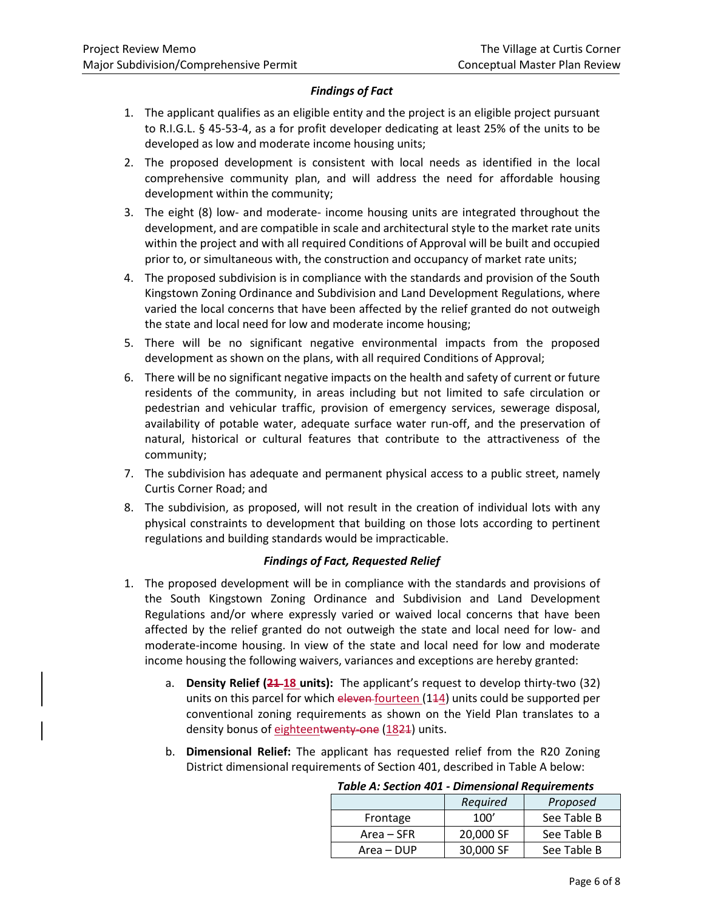# *Findings of Fact*

- 1. The applicant qualifies as an eligible entity and the project is an eligible project pursuant to R.I.G.L. § 45-53-4, as a for profit developer dedicating at least 25% of the units to be developed as low and moderate income housing units;
- 2. The proposed development is consistent with local needs as identified in the local comprehensive community plan, and will address the need for affordable housing development within the community;
- 3. The eight (8) low- and moderate- income housing units are integrated throughout the development, and are compatible in scale and architectural style to the market rate units within the project and with all required Conditions of Approval will be built and occupied prior to, or simultaneous with, the construction and occupancy of market rate units;
- 4. The proposed subdivision is in compliance with the standards and provision of the South Kingstown Zoning Ordinance and Subdivision and Land Development Regulations, where varied the local concerns that have been affected by the relief granted do not outweigh the state and local need for low and moderate income housing;
- 5. There will be no significant negative environmental impacts from the proposed development as shown on the plans, with all required Conditions of Approval;
- 6. There will be no significant negative impacts on the health and safety of current or future residents of the community, in areas including but not limited to safe circulation or pedestrian and vehicular traffic, provision of emergency services, sewerage disposal, availability of potable water, adequate surface water run-off, and the preservation of natural, historical or cultural features that contribute to the attractiveness of the community;
- 7. The subdivision has adequate and permanent physical access to a public street, namely Curtis Corner Road; and
- 8. The subdivision, as proposed, will not result in the creation of individual lots with any physical constraints to development that building on those lots according to pertinent regulations and building standards would be impracticable.

# *Findings of Fact, Requested Relief*

- 1. The proposed development will be in compliance with the standards and provisions of the South Kingstown Zoning Ordinance and Subdivision and Land Development Regulations and/or where expressly varied or waived local concerns that have been affected by the relief granted do not outweigh the state and local need for low- and moderate-income housing. In view of the state and local need for low and moderate income housing the following waivers, variances and exceptions are hereby granted:
	- a. **Density Relief (21 18 units):** The applicant's request to develop thirty-two (32) units on this parcel for which eleven-fourteen (144) units could be supported per conventional zoning requirements as shown on the Yield Plan translates to a density bonus of eighteentwenty-one (1821) units.
	- b. **Dimensional Relief:** The applicant has requested relief from the R20 Zoning District dimensional requirements of Section 401, described in Table A below:

| <b>Table A: Section 401 - Dimensional Requirements</b> |           |             |  |  |
|--------------------------------------------------------|-----------|-------------|--|--|
| Required<br>Proposed                                   |           |             |  |  |
| Frontage                                               | 100'      | See Table B |  |  |
| Area – SFR                                             | 20,000 SF | See Table B |  |  |
| Area – DUP                                             | 30,000 SF | See Table B |  |  |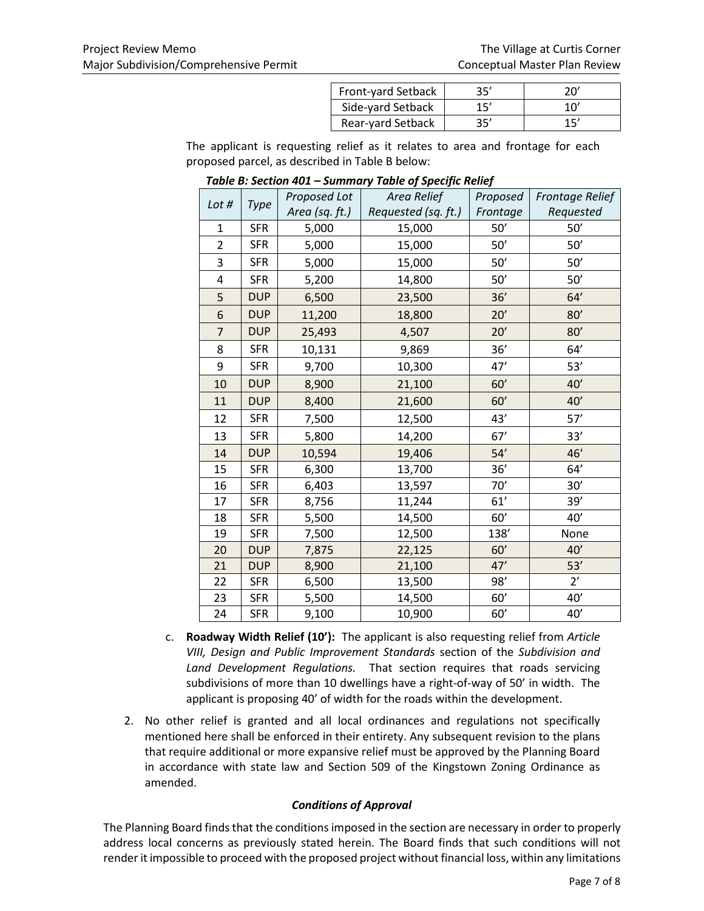| Front-yard Setback | 35' | 20            |
|--------------------|-----|---------------|
| Side-yard Setback  | 15' | $10^{\prime}$ |
| Rear-yard Setback  | 35' | 15'           |

The applicant is requesting relief as it relates to area and frontage for each proposed parcel, as described in Table B below:

| Lot #          | <b>Type</b> | Proposed Lot   | . <del>.</del><br>Area Relief | Proposed | <b>Frontage Relief</b> |
|----------------|-------------|----------------|-------------------------------|----------|------------------------|
|                |             | Area (sq. ft.) | Requested (sq. ft.)           | Frontage | Requested              |
| 1              | <b>SFR</b>  | 5,000          | 15,000                        | 50'      | 50'                    |
| $\overline{2}$ | <b>SFR</b>  | 5,000          | 15,000                        | 50'      | 50'                    |
| 3              | <b>SFR</b>  | 5,000          | 15,000                        | 50'      | 50'                    |
| 4              | <b>SFR</b>  | 5,200          | 14,800                        | 50'      | 50'                    |
| 5              | <b>DUP</b>  | 6,500          | 23,500                        | 36'      | 64'                    |
| 6              | <b>DUP</b>  | 11,200         | 18,800                        | 20'      | 80'                    |
| $\overline{7}$ | <b>DUP</b>  | 25,493         | 4,507                         | 20'      | 80'                    |
| 8              | <b>SFR</b>  | 10,131         | 9,869                         | 36'      | 64'                    |
| 9              | <b>SFR</b>  | 9,700          | 10,300                        | 47'      | 53'                    |
| 10             | <b>DUP</b>  | 8,900          | 21,100                        | 60'      | 40'                    |
| 11             | <b>DUP</b>  | 8,400          | 21,600                        | 60'      | 40'                    |
| 12             | <b>SFR</b>  | 7,500          | 12,500                        | 43'      | 57'                    |
| 13             | <b>SFR</b>  | 5,800          | 14,200                        | 67'      | 33'                    |
| 14             | <b>DUP</b>  | 10,594         | 19,406                        | 54'      | 46'                    |
| 15             | <b>SFR</b>  | 6,300          | 13,700                        | 36'      | 64'                    |
| 16             | <b>SFR</b>  | 6,403          | 13,597                        | 70'      | 30'                    |
| 17             | <b>SFR</b>  | 8,756          | 11,244                        | 61'      | 39'                    |
| 18             | <b>SFR</b>  | 5,500          | 14,500                        | 60'      | 40'                    |
| 19             | <b>SFR</b>  | 7,500          | 12,500                        | 138'     | None                   |
| 20             | <b>DUP</b>  | 7,875          | 22,125                        | 60'      | 40'                    |
| 21             | <b>DUP</b>  | 8,900          | 21,100                        | 47'      | 53'                    |
| 22             | <b>SFR</b>  | 6,500          | 13,500                        | 98'      | $2^{\prime}$           |
| 23             | <b>SFR</b>  | 5,500          | 14,500                        | 60'      | 40'                    |
| 24             | <b>SFR</b>  | 9,100          | 10,900                        | 60'      | 40'                    |

*Table B: Section 401 – Summary Table of Specific Relief*

- c. **Roadway Width Relief (10'):** The applicant is also requesting relief from *Article VIII, Design and Public Improvement Standards* section of the *Subdivision and Land Development Regulations.* That section requires that roads servicing subdivisions of more than 10 dwellings have a right-of-way of 50' in width. The applicant is proposing 40' of width for the roads within the development.
- 2. No other relief is granted and all local ordinances and regulations not specifically mentioned here shall be enforced in their entirety. Any subsequent revision to the plans that require additional or more expansive relief must be approved by the Planning Board in accordance with state law and Section 509 of the Kingstown Zoning Ordinance as amended.

# *Conditions of Approval*

The Planning Board finds that the conditions imposed in the section are necessary in order to properly address local concerns as previously stated herein. The Board finds that such conditions will not render it impossible to proceed with the proposed project without financial loss, within any limitations